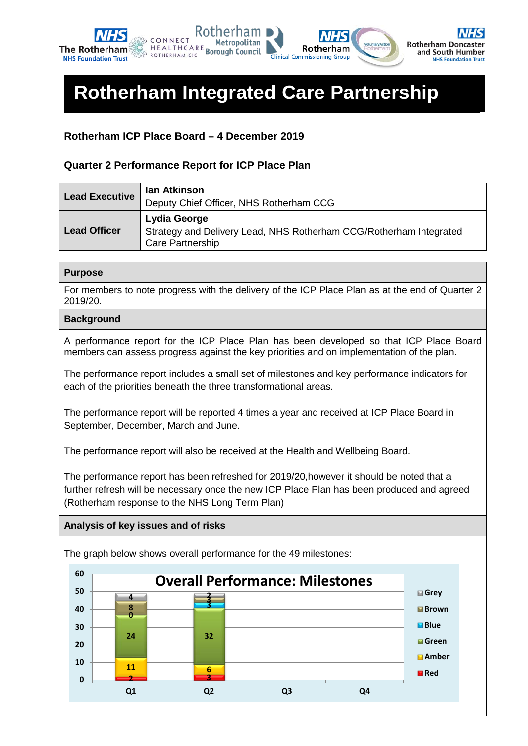

# **Rotherham Integrated Care Partnership**

### **Rotherham ICP Place Board – 4 December 2019**

### **Quarter 2 Performance Report for ICP Place Plan**

| <b>Lead Executive</b> | lan Atkinson<br>Deputy Chief Officer, NHS Rotherham CCG                                                       |
|-----------------------|---------------------------------------------------------------------------------------------------------------|
| <b>Lead Officer</b>   | <b>Lydia George</b><br>Strategy and Delivery Lead, NHS Rotherham CCG/Rotherham Integrated<br>Care Partnership |

### **Purpose**

For members to note progress with the delivery of the ICP Place Plan as at the end of Quarter 2 2019/20.

### **Background**

A performance report for the ICP Place Plan has been developed so that ICP Place Board members can assess progress against the key priorities and on implementation of the plan.

The performance report includes a small set of milestones and key performance indicators for each of the priorities beneath the three transformational areas.

The performance report will be reported 4 times a year and received at ICP Place Board in September, December, March and June.

The performance report will also be received at the Health and Wellbeing Board.

The performance report has been refreshed for 2019/20,however it should be noted that a further refresh will be necessary once the new ICP Place Plan has been produced and agreed (Rotherham response to the NHS Long Term Plan)

### **Analysis of key issues and of risks**

The graph below shows overall performance for the 49 milestones:

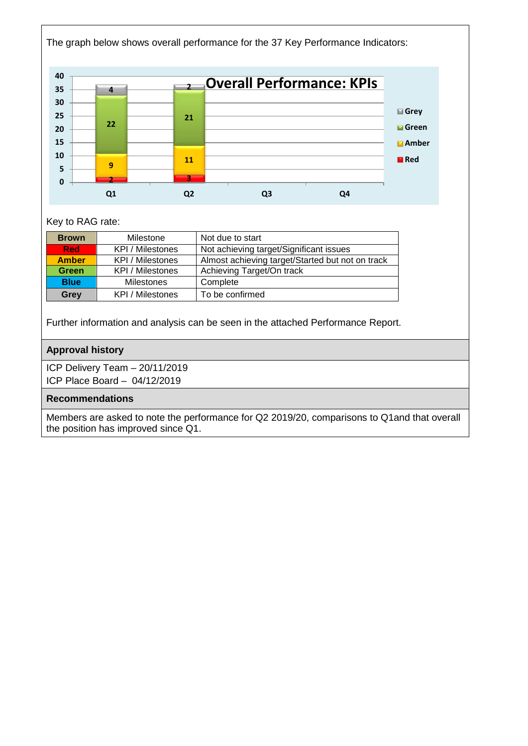

### Key to RAG rate:

| <b>Brown</b> | Milestone         | Not due to start                                 |
|--------------|-------------------|--------------------------------------------------|
| <b>Red</b>   | KPI / Milestones  | Not achieving target/Significant issues          |
| <b>Amber</b> | KPI / Milestones  | Almost achieving target/Started but not on track |
| <b>Green</b> | KPI / Milestones  | Achieving Target/On track                        |
| <b>Blue</b>  | <b>Milestones</b> | Complete                                         |
| Grey         | KPI / Milestones  | To be confirmed                                  |

Further information and analysis can be seen in the attached Performance Report.

### **Approval history**

ICP Delivery Team – 20/11/2019 ICP Place Board – 04/12/2019

### **Recommendations**

Members are asked to note the performance for Q2 2019/20, comparisons to Q1and that overall the position has improved since Q1.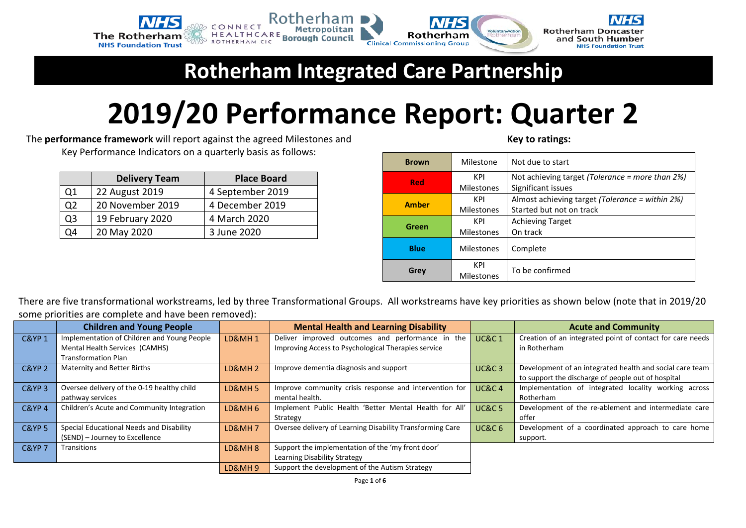

# **Rotherham Integrated Care Partnership**

# **2019/20 Performance Report: Quarter 2**

The **performance framework** will report against the agreed Milestones and Key Performance Indicators on a quarterly basis as follows:

|                | <b>Delivery Team</b> | <b>Place Board</b> |
|----------------|----------------------|--------------------|
| Q <sub>1</sub> | 22 August 2019       | 4 September 2019   |
| Q <sub>2</sub> | 20 November 2019     | 4 December 2019    |
| Q3             | 19 February 2020     | 4 March 2020       |
| ገ4             | 20 May 2020          | 3 June 2020        |

| <b>Brown</b>      | Milestone         | Not due to start                                    |  |  |  |  |  |  |
|-------------------|-------------------|-----------------------------------------------------|--|--|--|--|--|--|
| KPI<br><b>Red</b> |                   | Not achieving target (Tolerance = more than $2\%$ ) |  |  |  |  |  |  |
|                   | <b>Milestones</b> | Significant issues                                  |  |  |  |  |  |  |
| KPI               |                   | Almost achieving target (Tolerance = within 2%)     |  |  |  |  |  |  |
| <b>Amber</b>      | <b>Milestones</b> | Started but not on track                            |  |  |  |  |  |  |
|                   | KPI               | <b>Achieving Target</b>                             |  |  |  |  |  |  |
| Green             | <b>Milestones</b> | On track                                            |  |  |  |  |  |  |
| <b>Blue</b>       | <b>Milestones</b> | Complete                                            |  |  |  |  |  |  |
|                   | KPI               |                                                     |  |  |  |  |  |  |
| Grey              | <b>Milestones</b> | To be confirmed                                     |  |  |  |  |  |  |

**Key to ratings:**

There are five transformational workstreams, led by three Transformational Groups. All workstreams have key priorities as shown below (note that in 2019/20 some priorities are complete and have been removed):

|                   | <b>Children and Young People</b>            |                    | <b>Mental Health and Learning Disability</b>              |                   | <b>Acute and Community</b>                                |
|-------------------|---------------------------------------------|--------------------|-----------------------------------------------------------|-------------------|-----------------------------------------------------------|
| <b>C&amp;YP1</b>  | Implementation of Children and Young People | <b>LD&amp;MH1</b>  | Deliver improved outcomes and performance in the          | <b>UC&amp;C1</b>  | Creation of an integrated point of contact for care needs |
|                   | Mental Health Services (CAMHS)              |                    | Improving Access to Psychological Therapies service       |                   | in Rotherham                                              |
|                   | <b>Transformation Plan</b>                  |                    |                                                           |                   |                                                           |
| C&YP <sub>2</sub> | Maternity and Better Births                 | <b>LD&amp;MH2</b>  | Improve dementia diagnosis and support                    | <b>UC&amp;C3</b>  | Development of an integrated health and social care team  |
|                   |                                             |                    |                                                           |                   | to support the discharge of people out of hospital        |
| <b>C&amp;YP3</b>  | Oversee delivery of the 0-19 healthy child  | <b>LD&amp;MH5</b>  | Improve community crisis response and intervention for    | <b>UC&amp;C4</b>  | Implementation of integrated locality working across      |
|                   | pathway services                            |                    | mental health.                                            |                   | Rotherham                                                 |
| <b>C&amp;YP4</b>  | Children's Acute and Community Integration  | <b>LD&amp;MH 6</b> | Implement Public Health 'Better Mental Health for All'    | <b>UC&amp;C 5</b> | Development of the re-ablement and intermediate care      |
|                   |                                             |                    | Strategy                                                  |                   | offer                                                     |
| <b>C&amp;YP 5</b> | Special Educational Needs and Disability    | LD&MH7             | Oversee delivery of Learning Disability Transforming Care | UC&C <sub>6</sub> | Development of a coordinated approach to care home        |
|                   | (SEND) - Journey to Excellence              |                    |                                                           |                   | support.                                                  |
| <b>C&amp;YP 7</b> | Transitions                                 | LD&MH <sub>8</sub> | Support the implementation of the 'my front door'         |                   |                                                           |
|                   |                                             |                    | Learning Disability Strategy                              |                   |                                                           |
|                   |                                             | LD&MH9             | Support the development of the Autism Strategy            |                   |                                                           |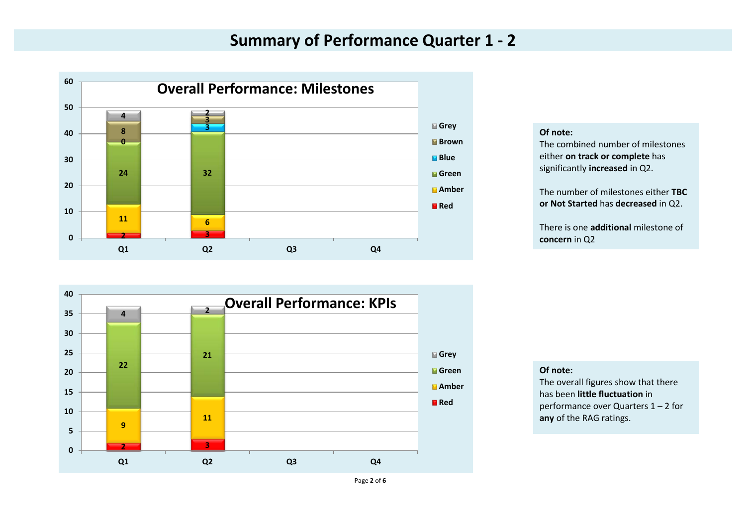### **Summary of Performance Quarter 1 - 2**



**Of note:**

The combined number of milestones either **on track or complete** has significantly **increased** in Q2.

The number of milestones either **TBC or Not Started** has **decreased** in Q2.

There is one **additional** milestone of **concern** in Q2



#### **Of note:**

The overall figures show that there has been **little fluctuation** in performance over Quarters 1 – 2 for **any** of the RAG ratings.

Page **2** of **6**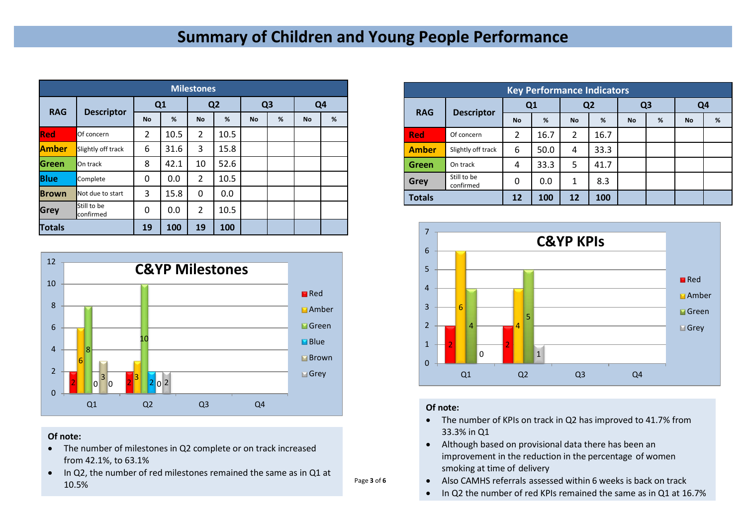### **Summary of Children and Young People Performance**

|               | <b>Milestones</b>        |           |      |                |                |                |   |                |   |  |  |  |  |
|---------------|--------------------------|-----------|------|----------------|----------------|----------------|---|----------------|---|--|--|--|--|
| <b>RAG</b>    |                          | Q1        |      |                | Q <sub>2</sub> | Q <sub>3</sub> |   | Q <sub>4</sub> |   |  |  |  |  |
|               | <b>Descriptor</b>        | <b>No</b> | %    | <b>No</b>      | %              | <b>No</b>      | % | <b>No</b>      | % |  |  |  |  |
| <b>Red</b>    | Of concern               | 2         | 10.5 | $\overline{2}$ | 10.5           |                |   |                |   |  |  |  |  |
| <b>Amber</b>  | Slightly off track       | 6         | 31.6 | 3              | 15.8           |                |   |                |   |  |  |  |  |
| <b>Green</b>  | On track                 | 8         | 42.1 | 10             | 52.6           |                |   |                |   |  |  |  |  |
| <b>Blue</b>   | Complete                 | $\Omega$  | 0.0  | $\overline{2}$ | 10.5           |                |   |                |   |  |  |  |  |
| <b>Brown</b>  | Not due to start         | 3         | 15.8 | 0              | 0.0            |                |   |                |   |  |  |  |  |
| <b>Grey</b>   | Still to be<br>confirmed | 0         | 0.0  | $\overline{2}$ | 10.5           |                |   |                |   |  |  |  |  |
| <b>Totals</b> |                          | 19        | 100  | 19             | 100            |                |   |                |   |  |  |  |  |



#### **Of note:**

- The number of milestones in Q2 complete or on track increased from 42.1%, to 63.1%
- In Q2, the number of red milestones remained the same as in Q1 at 10.5%

|               | <b>Key Performance Indicators</b> |                |      |                |                |           |                |                |   |  |  |  |  |
|---------------|-----------------------------------|----------------|------|----------------|----------------|-----------|----------------|----------------|---|--|--|--|--|
| <b>RAG</b>    |                                   | Q1             |      |                | Q <sub>2</sub> |           | Q <sub>3</sub> | Q <sub>4</sub> |   |  |  |  |  |
|               | <b>Descriptor</b>                 | <b>No</b>      | %    | <b>No</b>      | %              | <b>No</b> | %              | <b>No</b>      | % |  |  |  |  |
| <b>Red</b>    | Of concern                        | $\overline{2}$ | 16.7 | $\overline{2}$ | 16.7           |           |                |                |   |  |  |  |  |
| <b>Amber</b>  | Slightly off track                | 6              | 50.0 | 4              | 33.3           |           |                |                |   |  |  |  |  |
| Green         | On track                          | 4              | 33.3 | 5              | 41.7           |           |                |                |   |  |  |  |  |
| <b>Grey</b>   | Still to be<br>confirmed          | 0              | 0.0  | $\mathbf{1}$   | 8.3            |           |                |                |   |  |  |  |  |
| <b>Totals</b> |                                   | 12             | 100  | 12             | 100            |           |                |                |   |  |  |  |  |



#### **Of note:**

Page **3** of **6**

- The number of KPIs on track in Q2 has improved to 41.7% from 33.3% in Q1
- Although based on provisional data there has been an improvement in the reduction in the percentage of women smoking at time of delivery
- Also CAMHS referrals assessed within 6 weeks is back on track
- In Q2 the number of red KPIs remained the same as in Q1 at 16.7%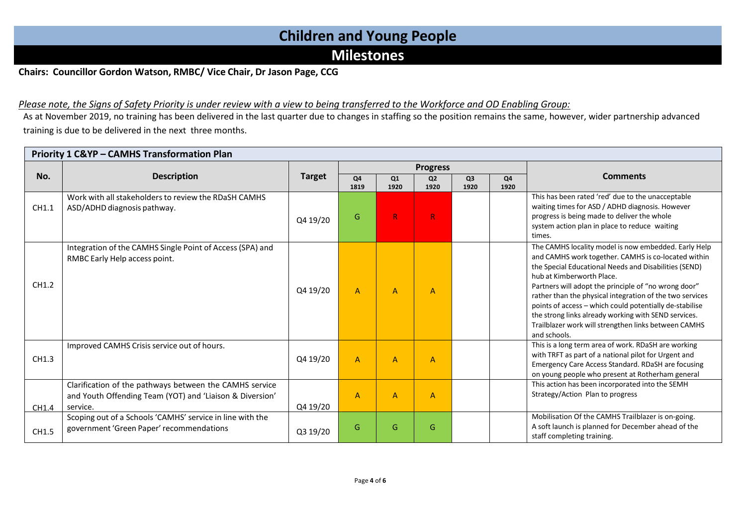### **Children and Young People**

### **Milestones**

### **Chairs: Councillor Gordon Watson, RMBC/ Vice Chair, Dr Jason Page, CCG**

### Please note, the Signs of Safety Priority is under review with a view to being transferred to the Workforce and OD Enabling Group:

As at November 2019, no training has been delivered in the last quarter due to changes in staffing so the position remains the same, however, wider partnership advanced training is due to be delivered in the next three months.

|       |                                                                                                                                 |               |                |                | <b>Progress</b>        |                        |                        |                                                                                                                                                                                                                                                                                                                                                                                                                                                                                                                  |
|-------|---------------------------------------------------------------------------------------------------------------------------------|---------------|----------------|----------------|------------------------|------------------------|------------------------|------------------------------------------------------------------------------------------------------------------------------------------------------------------------------------------------------------------------------------------------------------------------------------------------------------------------------------------------------------------------------------------------------------------------------------------------------------------------------------------------------------------|
| No.   | <b>Description</b>                                                                                                              | <b>Target</b> | Q4<br>1819     | Q1<br>1920     | Q <sub>2</sub><br>1920 | Q <sub>3</sub><br>1920 | Q <sub>4</sub><br>1920 | <b>Comments</b>                                                                                                                                                                                                                                                                                                                                                                                                                                                                                                  |
| CH1.1 | Work with all stakeholders to review the RDaSH CAMHS<br>ASD/ADHD diagnosis pathway.                                             | Q4 19/20      | G              | $\mathsf{R}$   | $\mathsf{R}$           |                        |                        | This has been rated 'red' due to the unacceptable<br>waiting times for ASD / ADHD diagnosis. However<br>progress is being made to deliver the whole<br>system action plan in place to reduce waiting<br>times.                                                                                                                                                                                                                                                                                                   |
| CH1.2 | Integration of the CAMHS Single Point of Access (SPA) and<br>RMBC Early Help access point.                                      | Q4 19/20      | $\overline{A}$ | $\overline{A}$ | $\overline{A}$         |                        |                        | The CAMHS locality model is now embedded. Early Help<br>and CAMHS work together. CAMHS is co-located within<br>the Special Educational Needs and Disabilities (SEND)<br>hub at Kimberworth Place.<br>Partners will adopt the principle of "no wrong door"<br>rather than the physical integration of the two services<br>points of access - which could potentially de-stabilise<br>the strong links already working with SEND services.<br>Trailblazer work will strengthen links between CAMHS<br>and schools. |
| CH1.3 | Improved CAMHS Crisis service out of hours.                                                                                     | Q4 19/20      | $\overline{A}$ | $\overline{A}$ | $\overline{A}$         |                        |                        | This is a long term area of work. RDaSH are working<br>with TRFT as part of a national pilot for Urgent and<br>Emergency Care Access Standard. RDaSH are focusing<br>on young people who present at Rotherham general                                                                                                                                                                                                                                                                                            |
| CH1.4 | Clarification of the pathways between the CAMHS service<br>and Youth Offending Team (YOT) and 'Liaison & Diversion'<br>service. | Q4 19/20      | $\overline{A}$ | A              | $\overline{A}$         |                        |                        | This action has been incorporated into the SEMH<br>Strategy/Action Plan to progress                                                                                                                                                                                                                                                                                                                                                                                                                              |
| CH1.5 | Scoping out of a Schools 'CAMHS' service in line with the<br>government 'Green Paper' recommendations                           | Q3 19/20      | G              | G              | G                      |                        |                        | Mobilisation Of the CAMHS Trailblazer is on-going.<br>A soft launch is planned for December ahead of the<br>staff completing training.                                                                                                                                                                                                                                                                                                                                                                           |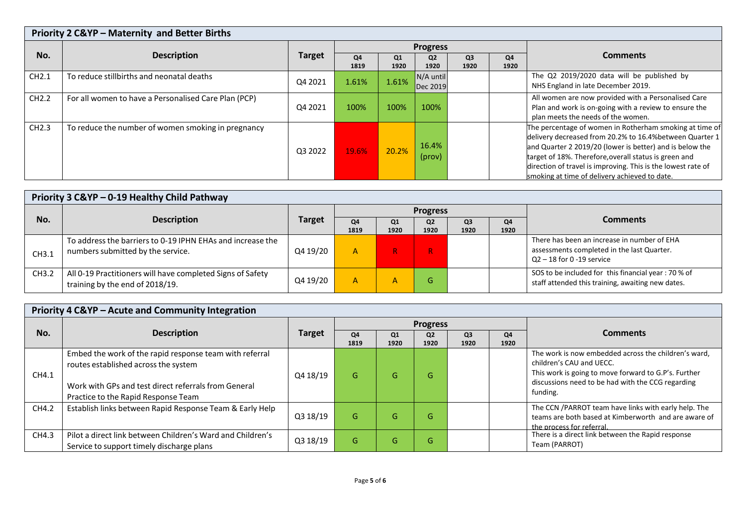| Priority 2 C&YP - Maternity and Better Births |                                                      |               |                        |            |                        |                        |            |                                                                                                                                                                                                                                                                                                                                                           |  |
|-----------------------------------------------|------------------------------------------------------|---------------|------------------------|------------|------------------------|------------------------|------------|-----------------------------------------------------------------------------------------------------------------------------------------------------------------------------------------------------------------------------------------------------------------------------------------------------------------------------------------------------------|--|
|                                               |                                                      | <b>Target</b> |                        |            | <b>Progress</b>        |                        |            |                                                                                                                                                                                                                                                                                                                                                           |  |
| No.                                           | <b>Description</b>                                   |               | Q <sub>4</sub><br>1819 | Q1<br>1920 | Q <sub>2</sub><br>1920 | Q <sub>3</sub><br>1920 | Q4<br>1920 | <b>Comments</b>                                                                                                                                                                                                                                                                                                                                           |  |
| CH2.1                                         | To reduce stillbirths and neonatal deaths            | Q4 2021       | 1.61%                  | 1.61%      | N/A until<br>Dec 2019  |                        |            | The Q2 2019/2020 data will be published by<br>NHS England in late December 2019.                                                                                                                                                                                                                                                                          |  |
| CH2.2                                         | For all women to have a Personalised Care Plan (PCP) | Q4 2021       | 100%                   | 100%       | 100%                   |                        |            | All women are now provided with a Personalised Care<br>Plan and work is on-going with a review to ensure the<br>plan meets the needs of the women.                                                                                                                                                                                                        |  |
| CH2.3                                         | To reduce the number of women smoking in pregnancy   | Q3 2022       | 19.6%                  | 20.2%      | 16.4%<br>(prov)        |                        |            | The percentage of women in Rotherham smoking at time of<br>delivery decreased from 20.2% to 16.4% between Quarter 1<br>and Quarter 2 2019/20 (lower is better) and is below the<br>target of 18%. Therefore, overall status is green and<br>direction of travel is improving. This is the lowest rate of<br>smoking at time of delivery achieved to date. |  |

|       | Priority 3 C&YP - 0-19 Healthy Child Pathway                                                    |               |                        |                        |                        |                        |            |                                                                                                                          |  |  |
|-------|-------------------------------------------------------------------------------------------------|---------------|------------------------|------------------------|------------------------|------------------------|------------|--------------------------------------------------------------------------------------------------------------------------|--|--|
|       | <b>Description</b>                                                                              | <b>Target</b> |                        |                        | <b>Progress</b>        |                        |            | <b>Comments</b>                                                                                                          |  |  |
| No.   |                                                                                                 |               | O <sub>4</sub><br>1819 | Q <sub>1</sub><br>1920 | Q <sub>2</sub><br>1920 | Q <sub>3</sub><br>1920 | Q4<br>1920 |                                                                                                                          |  |  |
| CH3.1 | To address the barriers to 0-19 IPHN EHAs and increase the<br>numbers submitted by the service. | Q4 19/20      | A                      |                        | R.                     |                        |            | There has been an increase in number of EHA<br>assessments completed in the last Quarter.<br>$Q2 - 18$ for 0 -19 service |  |  |
| CH3.2 | All 0-19 Practitioners will have completed Signs of Safety<br>training by the end of 2018/19.   | Q4 19/20      | A                      | А                      | G                      |                        |            | SOS to be included for this financial year: 70 % of<br>staff attended this training, awaiting new dates.                 |  |  |

|       | Priority 4 C&YP - Acute and Community Integration                                                                                                                                              |               |            |            |                        |                        |            |                                                                                                                                                                                                           |  |  |
|-------|------------------------------------------------------------------------------------------------------------------------------------------------------------------------------------------------|---------------|------------|------------|------------------------|------------------------|------------|-----------------------------------------------------------------------------------------------------------------------------------------------------------------------------------------------------------|--|--|
|       |                                                                                                                                                                                                |               |            |            | <b>Progress</b>        |                        |            | <b>Comments</b>                                                                                                                                                                                           |  |  |
| No.   | <b>Description</b>                                                                                                                                                                             | <b>Target</b> | Q4<br>1819 | Q1<br>1920 | Q <sub>2</sub><br>1920 | Q <sub>3</sub><br>1920 | Q4<br>1920 |                                                                                                                                                                                                           |  |  |
| CH4.1 | Embed the work of the rapid response team with referral<br>routes established across the system<br>Work with GPs and test direct referrals from General<br>Practice to the Rapid Response Team | Q4 18/19      | G          | G          | G                      |                        |            | The work is now embedded across the children's ward,<br>children's CAU and UECC.<br>This work is going to move forward to G.P's. Further<br>discussions need to be had with the CCG regarding<br>funding. |  |  |
| CH4.2 | Establish links between Rapid Response Team & Early Help                                                                                                                                       | Q3 18/19      | G          | G          | G                      |                        |            | The CCN /PARROT team have links with early help. The<br>teams are both based at Kimberworth and are aware of<br>the process for referral                                                                  |  |  |
| CH4.3 | Pilot a direct link between Children's Ward and Children's<br>Service to support timely discharge plans                                                                                        | Q3 18/19      | G          | G          | G                      |                        |            | There is a direct link between the Rapid response<br>Team (PARROT)                                                                                                                                        |  |  |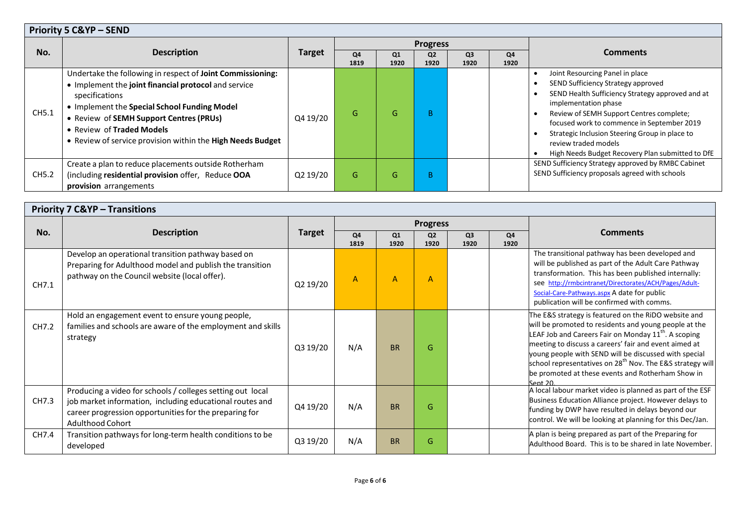|       | <b>Priority 5 C&amp;YP - SEND</b>                                                                                                                                                                                                                                                                                          |               |            |            |                        |                        |            |                                                                                                                                                                                                                                                                                                                                                                           |  |  |
|-------|----------------------------------------------------------------------------------------------------------------------------------------------------------------------------------------------------------------------------------------------------------------------------------------------------------------------------|---------------|------------|------------|------------------------|------------------------|------------|---------------------------------------------------------------------------------------------------------------------------------------------------------------------------------------------------------------------------------------------------------------------------------------------------------------------------------------------------------------------------|--|--|
|       | <b>Description</b>                                                                                                                                                                                                                                                                                                         | <b>Target</b> |            |            | <b>Progress</b>        |                        |            | <b>Comments</b>                                                                                                                                                                                                                                                                                                                                                           |  |  |
| No.   |                                                                                                                                                                                                                                                                                                                            |               | Q4<br>1819 | Q1<br>1920 | Q <sub>2</sub><br>1920 | Q <sub>3</sub><br>1920 | Q4<br>1920 |                                                                                                                                                                                                                                                                                                                                                                           |  |  |
| CH5.1 | Undertake the following in respect of Joint Commissioning:<br>• Implement the joint financial protocol and service<br>specifications<br>• Implement the Special School Funding Model<br>• Review of SEMH Support Centres (PRUs)<br>• Review of Traded Models<br>• Review of service provision within the High Needs Budget | Q4 19/20      | G          | G          | B.                     |                        |            | Joint Resourcing Panel in place<br>SEND Sufficiency Strategy approved<br>SEND Health Sufficiency Strategy approved and at<br>implementation phase<br>Review of SEMH Support Centres complete;<br>focused work to commence in September 2019<br>Strategic Inclusion Steering Group in place to<br>review traded models<br>High Needs Budget Recovery Plan submitted to DfE |  |  |
| CH5.2 | Create a plan to reduce placements outside Rotherham<br>(including residential provision offer, Reduce OOA<br>provision arrangements                                                                                                                                                                                       | Q2 19/20      | G          | G          | B.                     |                        |            | SEND Sufficiency Strategy approved by RMBC Cabinet<br>SEND Sufficiency proposals agreed with schools                                                                                                                                                                                                                                                                      |  |  |

|       | <b>Priority 7 C&amp;YP - Transitions</b>                                                                                                                                                                    |               |                |            |                        |                        |            |                                                                                                                                                                                                                                                                                                                                                                                                                                              |  |  |  |  |
|-------|-------------------------------------------------------------------------------------------------------------------------------------------------------------------------------------------------------------|---------------|----------------|------------|------------------------|------------------------|------------|----------------------------------------------------------------------------------------------------------------------------------------------------------------------------------------------------------------------------------------------------------------------------------------------------------------------------------------------------------------------------------------------------------------------------------------------|--|--|--|--|
|       |                                                                                                                                                                                                             |               |                |            | <b>Progress</b>        |                        |            |                                                                                                                                                                                                                                                                                                                                                                                                                                              |  |  |  |  |
| No.   | <b>Description</b>                                                                                                                                                                                          | <b>Target</b> | Q4<br>1819     | Q1<br>1920 | Q <sub>2</sub><br>1920 | Q <sub>3</sub><br>1920 | Q4<br>1920 | <b>Comments</b>                                                                                                                                                                                                                                                                                                                                                                                                                              |  |  |  |  |
| CH7.1 | Develop an operational transition pathway based on<br>Preparing for Adulthood model and publish the transition<br>pathway on the Council website (local offer).                                             | Q2 19/20      | $\overline{A}$ | A          | A                      |                        |            | The transitional pathway has been developed and<br>will be published as part of the Adult Care Pathway<br>transformation. This has been published internally:<br>see http://rmbcintranet/Directorates/ACH/Pages/Adult-<br>Social-Care-Pathways.aspx A date for public<br>publication will be confirmed with comms.                                                                                                                           |  |  |  |  |
| CH7.2 | Hold an engagement event to ensure young people,<br>families and schools are aware of the employment and skills<br>strategy                                                                                 | Q3 19/20      | N/A            | <b>BR</b>  | G.                     |                        |            | The E&S strategy is featured on the RiDO website and<br>will be promoted to residents and young people at the<br>LEAF Job and Careers Fair on Monday 11 <sup>th</sup> . A scoping<br>meeting to discuss a careers' fair and event aimed at<br>young people with SEND will be discussed with special<br>school representatives on 28 <sup>th</sup> Nov. The E&S strategy will<br>be promoted at these events and Rotherham Show in<br>Sent 20 |  |  |  |  |
| CH7.3 | Producing a video for schools / colleges setting out local<br>job market information, including educational routes and<br>career progression opportunities for the preparing for<br><b>Adulthood Cohort</b> | Q4 19/20      | N/A            | <b>BR</b>  | G                      |                        |            | A local labour market video is planned as part of the ESF<br>Business Education Alliance project. However delays to<br>funding by DWP have resulted in delays beyond our<br>control. We will be looking at planning for this Dec/Jan.                                                                                                                                                                                                        |  |  |  |  |
| CH7.4 | Transition pathways for long-term health conditions to be<br>developed                                                                                                                                      | Q3 19/20      | N/A            | <b>BR</b>  | G                      |                        |            | A plan is being prepared as part of the Preparing for<br>Adulthood Board. This is to be shared in late November.                                                                                                                                                                                                                                                                                                                             |  |  |  |  |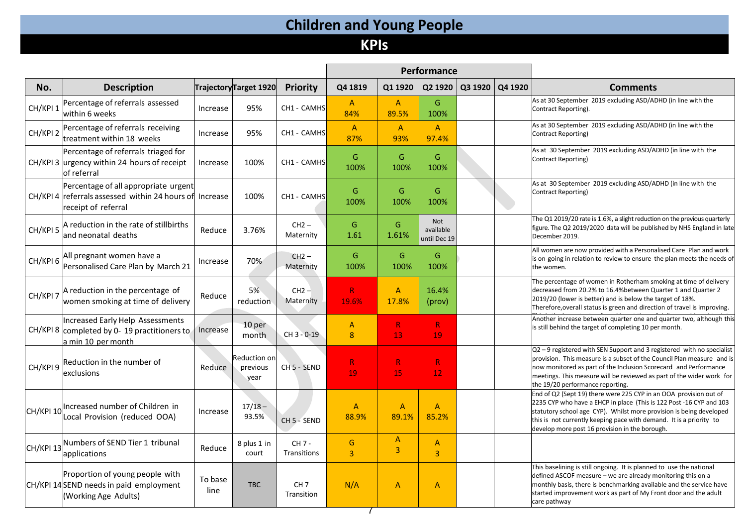# **Children and Young People**

# **KPIs**

|           |                                                                                                               |                 |                                  |                               |                       |                                  | Performance                      |         |         |                                                                                                                                                                                                                                                                                                                                          |
|-----------|---------------------------------------------------------------------------------------------------------------|-----------------|----------------------------------|-------------------------------|-----------------------|----------------------------------|----------------------------------|---------|---------|------------------------------------------------------------------------------------------------------------------------------------------------------------------------------------------------------------------------------------------------------------------------------------------------------------------------------------------|
| No.       | <b>Description</b>                                                                                            |                 | Trajectory Target 1920           | Priority                      | Q4 1819               | Q1 1920                          | Q2 1920                          | Q3 1920 | Q4 1920 | <b>Comments</b>                                                                                                                                                                                                                                                                                                                          |
| CH/KPI 1  | Percentage of referrals assessed<br>within 6 weeks                                                            | Increase        | 95%                              | CH1 - CAMHS                   | A<br>84%              | $\mathsf{A}$<br>89.5%            | G<br>100%                        |         |         | As at 30 September 2019 excluding ASD/ADHD (in line with the<br>Contract Reporting).                                                                                                                                                                                                                                                     |
| CH/KPI 2  | Percentage of referrals receiving<br>treatment within 18 weeks                                                | Increase        | 95%                              | CH1 - CAMHS                   | $\mathsf{A}$<br>87%   | $\mathsf{A}$<br>93%              | $\mathsf{A}$<br>97.4%            |         |         | As at 30 September 2019 excluding ASD/ADHD (in line with the<br>Contract Reporting)                                                                                                                                                                                                                                                      |
|           | Percentage of referrals triaged for<br>CH/KPI 3 urgency within 24 hours of receipt<br>of referral             | Increase        | 100%                             | CH1 - CAMHS                   | G<br>100%             | G<br>100%                        | G<br>100%                        |         |         | As at 30 September 2019 excluding ASD/ADHD (in line with the<br>Contract Reporting)                                                                                                                                                                                                                                                      |
|           | Percentage of all appropriate urgent<br>CH/KPI 4 referrals assessed within 24 hours of<br>receipt of referral | Increase        | 100%                             | CH1 - CAMHS                   | G<br>100%             | G<br>100%                        | G<br>100%                        |         |         | As at 30 September 2019 excluding ASD/ADHD (in line with the<br>Contract Reporting)                                                                                                                                                                                                                                                      |
| CH/KPI 5  | A reduction in the rate of stillbirths<br>and neonatal deaths                                                 | Reduce          | 3.76%                            | $CH2 -$<br>Maternity          | G<br>1.61             | G<br>1.61%                       | Not<br>available<br>until Dec 19 |         |         | The Q1 2019/20 rate is 1.6%, a slight reduction on the previous quarterly<br>figure. The Q2 2019/2020 data will be published by NHS England in late<br>December 2019.                                                                                                                                                                    |
| CH/KPI6   | All pregnant women have a<br>Personalised Care Plan by March 21                                               | Increase        | 70%                              | $CH2 -$<br>Maternity          | G<br>100%             | G<br>100%                        | G<br>100%                        |         |         | All women are now provided with a Personalised Care Plan and work<br>is on-going in relation to review to ensure the plan meets the needs of<br>the women.                                                                                                                                                                               |
| CH/KPI 7  | A reduction in the percentage of<br>women smoking at time of delivery                                         | Reduce          | 5%<br>reduction                  | $CH2 -$<br>Maternity          | $\mathsf{R}$<br>19.6% | $\overline{A}$<br>17.8%          | 16.4%<br>(prov)                  |         |         | The percentage of women in Rotherham smoking at time of delivery<br>decreased from 20.2% to 16.4% between Quarter 1 and Quarter 2<br>2019/20 (lower is better) and is below the target of 18%.<br>Therefore, overall status is green and direction of travel is improving.                                                               |
|           | <b>Increased Early Help Assessments</b><br>CH/KPI 8 completed by 0-19 practitioners to<br>a min 10 per month  | Increase        | 10 per<br>month                  | CH 3 - 0-19                   | A<br>8                | R<br>13                          | R<br>19                          |         |         | Another increase between quarter one and quarter two, although this<br>is still behind the target of completing 10 per month.                                                                                                                                                                                                            |
| CH/KPI 9  | Reduction in the number of<br>exclusions                                                                      | Reduce          | Reduction on<br>previous<br>year | CH <sub>5</sub> - SEND        | $\mathsf{R}$<br>19    | R<br>15                          | $\mathsf{R}$<br>12               |         |         | Q2 - 9 registered with SEN Support and 3 registered with no specialist<br>provision. This measure is a subset of the Council Plan measure and is<br>now monitored as part of the Inclusion Scorecard and Performance<br>meetings. This measure will be reviewed as part of the wider work for<br>the 19/20 performance reporting.        |
| CH/KPI 10 | Increased number of Children in<br>Local Provision (reduced OOA)                                              | Increase        | $17/18 -$<br>93.5%               | CH 5 - SEND                   | $\mathsf{A}$<br>88.9% | $\overline{A}$<br>89.1%          | $\overline{A}$<br>85.2%          |         |         | End of Q2 (Sept 19) there were 225 CYP in an OOA provision out of<br>2235 CYP who have a EHCP in place (This is 122 Post -16 CYP and 103<br>statutory school age CYP). Whilst more provision is being developed<br>this is not currently keeping pace with demand. It is a priority to<br>develop more post 16 provision in the borough. |
| CH/KPI 13 | Numbers of SEND Tier 1 tribunal<br>applications                                                               | Reduce          | 8 plus 1 in<br>court             | CH 7 -<br>Transitions         | G<br>$\overline{3}$   | $\overline{A}$<br>$\overline{3}$ | $\overline{A}$<br>$\overline{3}$ |         |         |                                                                                                                                                                                                                                                                                                                                          |
|           | Proportion of young people with<br>CH/KPI 14SEND needs in paid employment<br>(Working Age Adults)             | To base<br>line | <b>TBC</b>                       | CH <sub>7</sub><br>Transition | N/A                   | $\mathsf{A}$                     | $\overline{A}$                   |         |         | This baselining is still ongoing. It is planned to use the national<br>defined ASCOF measure - we are already monitoring this on a<br>monthly basis, there is benchmarking available and the service have<br>started improvement work as part of My Front door and the adult<br>care pathway                                             |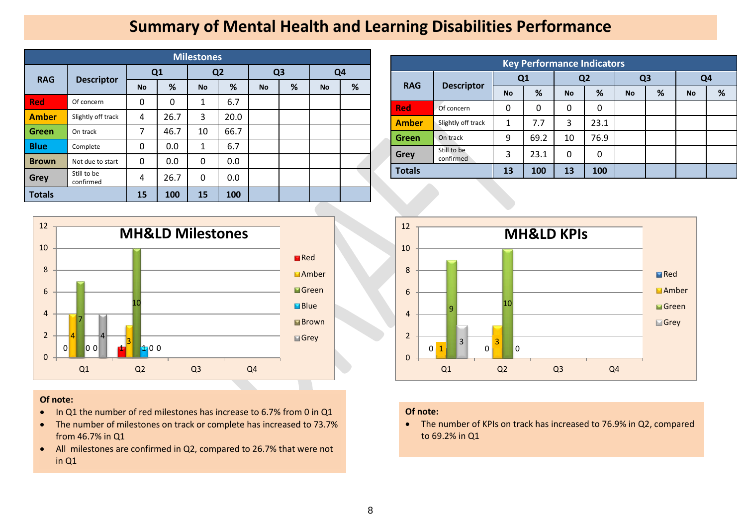### **Summary of Mental Health and Learning Disabilities Performance**

|               | <b>Milestones</b>        |           |           |              |                |                |   |                |   |  |  |  |  |  |
|---------------|--------------------------|-----------|-----------|--------------|----------------|----------------|---|----------------|---|--|--|--|--|--|
| <b>RAG</b>    | <b>Descriptor</b>        | Q1        |           |              | Q <sub>2</sub> | Q <sub>3</sub> |   | Q <sub>4</sub> |   |  |  |  |  |  |
|               |                          | <b>No</b> | %         | <b>No</b>    | %              | <b>No</b>      | % | <b>No</b>      | % |  |  |  |  |  |
| <b>Red</b>    | Of concern               | 0         | $\Omega$  | 1            | 6.7            |                |   |                |   |  |  |  |  |  |
| <b>Amber</b>  | Slightly off track       | 4         | 26.7      | 3            | 20.0           |                |   |                |   |  |  |  |  |  |
| <b>Green</b>  | On track                 | 7         | 46.7      | 10           | 66.7           |                |   |                |   |  |  |  |  |  |
| <b>Blue</b>   | Complete                 | 0         | 0.0       | $\mathbf{1}$ | 6.7            |                |   |                |   |  |  |  |  |  |
| <b>Brown</b>  | Not due to start         | 0         | 0.0       | 0            | 0.0            |                |   |                |   |  |  |  |  |  |
| Grey          | Still to be<br>confirmed | 4         | 26.7      | 0            | 0.0            |                |   |                |   |  |  |  |  |  |
| <b>Totals</b> | 15                       | 100       | <b>15</b> | 100          |                |                |   |                |   |  |  |  |  |  |



### **Of note:**

- In Q1 the number of red milestones has increase to 6.7% from 0 in Q1
- The number of milestones on track or complete has increased to 73.7% from 46.7% in Q1
- All milestones are confirmed in Q2, compared to 26.7% that were not in Q1

| <b>Key Performance Indicators</b> |                          |    |      |           |                |           |                |                |   |  |  |  |  |
|-----------------------------------|--------------------------|----|------|-----------|----------------|-----------|----------------|----------------|---|--|--|--|--|
| <b>RAG</b>                        | <b>Descriptor</b>        |    | Q1   |           | Q <sub>2</sub> |           | Q <sub>3</sub> | Q <sub>4</sub> |   |  |  |  |  |
|                                   |                          | No | %    | <b>No</b> | %              | <b>No</b> | %              | <b>No</b>      | % |  |  |  |  |
| <b>Red</b>                        | Of concern               | 0  | 0    | 0         | 0              |           |                |                |   |  |  |  |  |
| <b>Amber</b>                      | Slightly off track       | 1  | 7.7  | 3         | 23.1           |           |                |                |   |  |  |  |  |
| <b>Green</b>                      | On track                 | 9  | 69.2 | 10        | 76.9           |           |                |                |   |  |  |  |  |
| <b>Grey</b>                       | Still to be<br>confirmed | 3  | 23.1 | 0         | 0              |           |                |                |   |  |  |  |  |
| <b>Totals</b>                     |                          | 13 | 100  | 13        | 100            |           |                |                |   |  |  |  |  |



### **Of note:**

• The number of KPIs on track has increased to 76.9% in Q2, compared to 69.2% in Q1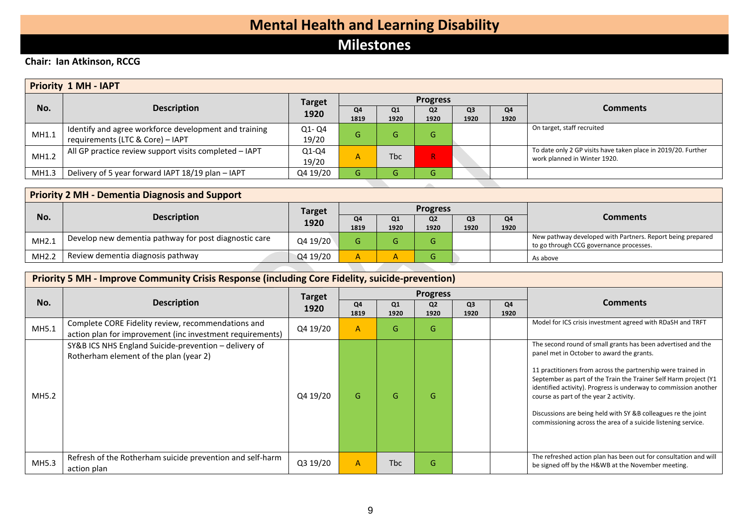# **Mental Health and Learning Disability**

### **Milestones**

### **Chair: Ian Atkinson, RCCG**

|       | <b>Priority 1 MH - IAPT</b>                                                               |                  |              |             |                        |                        |            |                                                                                               |  |  |  |  |
|-------|-------------------------------------------------------------------------------------------|------------------|--------------|-------------|------------------------|------------------------|------------|-----------------------------------------------------------------------------------------------|--|--|--|--|
|       |                                                                                           | <b>Target</b>    |              |             | <b>Progress</b>        |                        |            |                                                                                               |  |  |  |  |
| No.   | <b>Description</b>                                                                        | 1920             | Q4<br>1819   | Q1<br>1920  | Q <sub>2</sub><br>1920 | Q <sub>3</sub><br>1920 | Q4<br>1920 | <b>Comments</b>                                                                               |  |  |  |  |
| MH1.1 | Identify and agree workforce development and training<br>requirements (LTC & Core) - IAPT | Q1-Q4<br>19/20   | G            | G.          | G.                     |                        |            | On target, staff recruited                                                                    |  |  |  |  |
| MH1.2 | All GP practice review support visits completed - IAPT                                    | $Q1-Q4$<br>19/20 | $\mathsf{A}$ | <b>T</b> bc | $R_{\odot}$            |                        |            | To date only 2 GP visits have taken place in 2019/20. Further<br>work planned in Winter 1920. |  |  |  |  |
| MH1.3 | Delivery of 5 year forward IAPT 18/19 plan - IAPT                                         | Q4 19/20         | G.           | G.          | G                      |                        |            |                                                                                               |  |  |  |  |

| <b>Priority 2 MH - Dementia Diagnosis and Support</b> |                                                       |               |            |            |                        |                        |            |                                                                                                       |  |  |  |  |
|-------------------------------------------------------|-------------------------------------------------------|---------------|------------|------------|------------------------|------------------------|------------|-------------------------------------------------------------------------------------------------------|--|--|--|--|
|                                                       |                                                       | <b>Target</b> |            |            | <b>Progress</b>        |                        |            | <b>Comments</b>                                                                                       |  |  |  |  |
| No.                                                   | <b>Description</b>                                    | 1920          | Q4<br>1819 | Q1<br>1920 | Q <sub>2</sub><br>1920 | Q <sub>3</sub><br>1920 | Q4<br>1920 |                                                                                                       |  |  |  |  |
| MH2.1                                                 | Develop new dementia pathway for post diagnostic care | Q4 19/20      |            |            | ι٦                     |                        |            | New pathway developed with Partners. Report being prepared<br>to go through CCG governance processes. |  |  |  |  |
| MH2.2                                                 | Review dementia diagnosis pathway                     | Q4 19/20      | A          |            |                        |                        |            | As above                                                                                              |  |  |  |  |

|       | <b>Priority 5 MH - Improve Community Crisis Response (including Core Fidelity, suicide-prevention)</b>          |               |                |            |                        |                        |            |                                                                                                                                                                                                                                                                                                                                                                                                                                                                                               |  |  |  |  |
|-------|-----------------------------------------------------------------------------------------------------------------|---------------|----------------|------------|------------------------|------------------------|------------|-----------------------------------------------------------------------------------------------------------------------------------------------------------------------------------------------------------------------------------------------------------------------------------------------------------------------------------------------------------------------------------------------------------------------------------------------------------------------------------------------|--|--|--|--|
|       |                                                                                                                 | <b>Target</b> |                |            | <b>Progress</b>        |                        |            |                                                                                                                                                                                                                                                                                                                                                                                                                                                                                               |  |  |  |  |
| No.   | <b>Description</b>                                                                                              | 1920          | Q4<br>1819     | Q1<br>1920 | Q <sub>2</sub><br>1920 | Q <sub>3</sub><br>1920 | Q4<br>1920 | <b>Comments</b>                                                                                                                                                                                                                                                                                                                                                                                                                                                                               |  |  |  |  |
| MH5.1 | Complete CORE Fidelity review, recommendations and<br>action plan for improvement (inc investment requirements) | Q4 19/20      | $\overline{A}$ | G          | G                      |                        |            | Model for ICS crisis investment agreed with RDaSH and TRFT                                                                                                                                                                                                                                                                                                                                                                                                                                    |  |  |  |  |
| MH5.2 | SY&B ICS NHS England Suicide-prevention - delivery of<br>Rotherham element of the plan (year 2)                 | Q4 19/20      | G              | G          | G                      |                        |            | The second round of small grants has been advertised and the<br>panel met in October to award the grants.<br>11 practitioners from across the partnership were trained in<br>September as part of the Train the Trainer Self Harm project (Y1<br>identified activity). Progress is underway to commission another<br>course as part of the year 2 activity.<br>Discussions are being held with SY &B colleagues re the joint<br>commissioning across the area of a suicide listening service. |  |  |  |  |
| MH5.3 | Refresh of the Rotherham suicide prevention and self-harm<br>action plan                                        | Q3 19/20      | $\overline{A}$ | <b>Tbc</b> | G                      |                        |            | The refreshed action plan has been out for consultation and will<br>be signed off by the H&WB at the November meeting.                                                                                                                                                                                                                                                                                                                                                                        |  |  |  |  |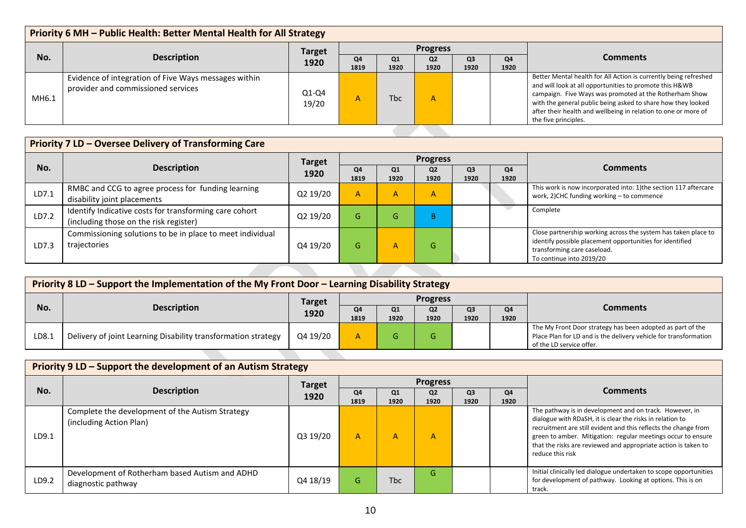| Priority 6 MH - Public Health: Better Mental Health for All Strategy |                                                                                            |                       |                 |            |                        |            |            |                                                                                                                                                                                                                                                                                                                                                 |  |  |  |
|----------------------------------------------------------------------|--------------------------------------------------------------------------------------------|-----------------------|-----------------|------------|------------------------|------------|------------|-------------------------------------------------------------------------------------------------------------------------------------------------------------------------------------------------------------------------------------------------------------------------------------------------------------------------------------------------|--|--|--|
|                                                                      |                                                                                            |                       | <b>Progress</b> |            |                        |            |            |                                                                                                                                                                                                                                                                                                                                                 |  |  |  |
| No.                                                                  | <b>Description</b>                                                                         | <b>Target</b><br>1920 | Q4<br>1819      | Q1<br>1920 | Q <sub>2</sub><br>1920 | Q3<br>1920 | Q4<br>1920 | <b>Comments</b>                                                                                                                                                                                                                                                                                                                                 |  |  |  |
| MH6.1                                                                | Evidence of integration of Five Ways messages within<br>provider and commissioned services | $Q1-Q4$<br>19/20      | $\mathsf{A}$    | <b>Thc</b> | A                      |            |            | Better Mental health for All Action is currently being refreshed<br>and will look at all opportunities to promote this H&WB<br>campaign. Five Ways was promoted at the Rotherham Show<br>with the general public being asked to share how they looked<br>after their health and wellbeing in relation to one or more of<br>the five principles. |  |  |  |

|       | <b>Priority 7 LD - Oversee Delivery of Transforming Care</b>                                                                                                                          |               |            |              |                        |                        |            |                                                                                                               |  |  |  |  |
|-------|---------------------------------------------------------------------------------------------------------------------------------------------------------------------------------------|---------------|------------|--------------|------------------------|------------------------|------------|---------------------------------------------------------------------------------------------------------------|--|--|--|--|
|       |                                                                                                                                                                                       | <b>Target</b> |            |              | <b>Progress</b>        |                        |            |                                                                                                               |  |  |  |  |
| No.   | <b>Description</b>                                                                                                                                                                    | 1920          | Q4<br>1819 | Q1<br>1920   | Q <sub>2</sub><br>1920 | Q <sub>3</sub><br>1920 | Q4<br>1920 | <b>Comments</b>                                                                                               |  |  |  |  |
| LD7.1 | RMBC and CCG to agree process for funding learning<br>disability joint placements                                                                                                     | Q2 19/20      | A          | $\mathsf{A}$ | $\mathsf{A}$           |                        |            | This work is now incorporated into: 1) the section 117 aftercare<br>work, 2)CHC funding working - to commence |  |  |  |  |
| LD7.2 | Identify Indicative costs for transforming care cohort<br>(including those on the risk register)                                                                                      | Q2 19/20      | G.         | G            | B.                     |                        |            | Complete                                                                                                      |  |  |  |  |
| LD7.3 | Close partnership working across the system has taken place to<br>identify possible placement opportunities for identified<br>transforming care caseload.<br>To continue into 2019/20 |               |            |              |                        |                        |            |                                                                                                               |  |  |  |  |
|       |                                                                                                                                                                                       |               |            |              |                        |                        |            |                                                                                                               |  |  |  |  |

|       | Priority 8 LD – Support the Implementation of the My Front Door – Learning Disability Strategy |                       |            |            |                        |            |            |                                                                                                                                                            |  |  |  |  |
|-------|------------------------------------------------------------------------------------------------|-----------------------|------------|------------|------------------------|------------|------------|------------------------------------------------------------------------------------------------------------------------------------------------------------|--|--|--|--|
|       |                                                                                                |                       |            |            |                        |            |            |                                                                                                                                                            |  |  |  |  |
| No.   | <b>Description</b>                                                                             | <b>Target</b><br>1920 | Q4<br>1819 | Q1<br>1920 | Q <sub>2</sub><br>1920 | Q3<br>1920 | Q4<br>1920 | <b>Comments</b>                                                                                                                                            |  |  |  |  |
| LD8.1 | Delivery of joint Learning Disability transformation strategy                                  | Q4 19/20              |            |            | Œт                     |            |            | The My Front Door strategy has been adopted as part of the<br>Place Plan for LD and is the delivery vehicle for transformation<br>of the LD service offer. |  |  |  |  |
|       |                                                                                                |                       |            |            |                        |            |            |                                                                                                                                                            |  |  |  |  |

|       | Priority 9 LD – Support the development of an Autism Strategy              |               |            |                        |                        |                        |            |                                                                                                                                                                                                                                                                                                                                               |  |  |  |  |
|-------|----------------------------------------------------------------------------|---------------|------------|------------------------|------------------------|------------------------|------------|-----------------------------------------------------------------------------------------------------------------------------------------------------------------------------------------------------------------------------------------------------------------------------------------------------------------------------------------------|--|--|--|--|
|       |                                                                            | <b>Target</b> |            |                        | <b>Progress</b>        |                        |            | <b>Comments</b>                                                                                                                                                                                                                                                                                                                               |  |  |  |  |
| No.   | <b>Description</b>                                                         | 1920          | Q4<br>1819 | Q <sub>1</sub><br>1920 | Q <sub>2</sub><br>1920 | Q <sub>3</sub><br>1920 | Q4<br>1920 |                                                                                                                                                                                                                                                                                                                                               |  |  |  |  |
| LD9.1 | Complete the development of the Autism Strategy<br>(including Action Plan) | Q3 19/20      | A          | А                      | А                      |                        |            | The pathway is in development and on track. However, in<br>dialogue with RDaSH, it is clear the risks in relation to<br>recruitment are still evident and this reflects the change from<br>green to amber. Mitigation: regular meetings occur to ensure<br>that the risks are reviewed and appropriate action is taken to<br>reduce this risk |  |  |  |  |
| LD9.2 | Development of Rotherham based Autism and ADHD<br>diagnostic pathway       | Q4 18/19      | G          | <b>Tbc</b>             | G                      |                        |            | Initial clinically led dialogue undertaken to scope opportunities<br>for development of pathway. Looking at options. This is on<br>track.                                                                                                                                                                                                     |  |  |  |  |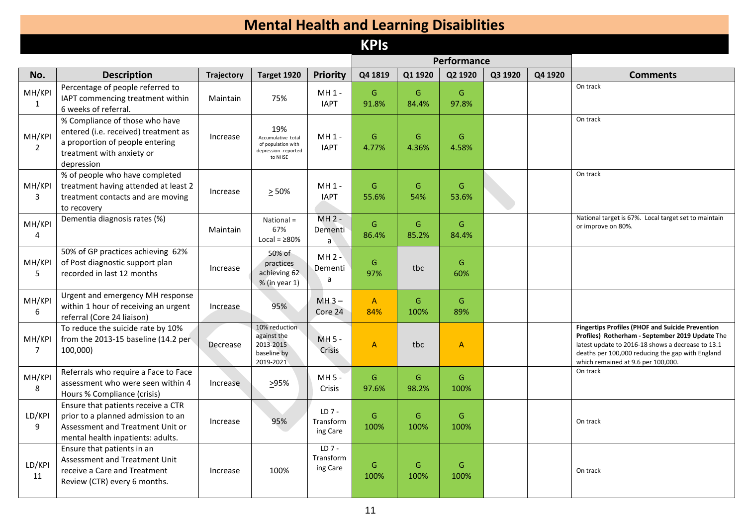# **Mental Health and Learning Disaiblities**

### **KPIs**

|                          |                                                                                                                                                      |                   |                                                                                    |                                  |                       |            | Performance            |         |         |                                                                                                                                                                                                                                                           |
|--------------------------|------------------------------------------------------------------------------------------------------------------------------------------------------|-------------------|------------------------------------------------------------------------------------|----------------------------------|-----------------------|------------|------------------------|---------|---------|-----------------------------------------------------------------------------------------------------------------------------------------------------------------------------------------------------------------------------------------------------------|
| No.                      | <b>Description</b>                                                                                                                                   | <b>Trajectory</b> | Target 1920                                                                        | <b>Priority</b>                  | Q4 1819               | Q1 1920    | Q2 1920                | Q3 1920 | Q4 1920 | <b>Comments</b>                                                                                                                                                                                                                                           |
| MH/KP<br>$\mathbf{1}$    | Percentage of people referred to<br>IAPT commencing treatment within<br>6 weeks of referral.                                                         | Maintain          | 75%                                                                                | MH 1 -<br><b>IAPT</b>            | G<br>91.8%            | G<br>84.4% | G<br>97.8%             |         |         | On track                                                                                                                                                                                                                                                  |
| MH/KPI<br>$\overline{2}$ | % Compliance of those who have<br>entered (i.e. received) treatment as<br>a proportion of people entering<br>treatment with anxiety or<br>depression | Increase          | 19%<br>Accumulative total<br>of population with<br>depression -reported<br>to NHSE | MH 1 -<br><b>IAPT</b>            | G<br>4.77%            | G<br>4.36% | ${\mathsf G}$<br>4.58% |         |         | On track                                                                                                                                                                                                                                                  |
| MH/KPI<br>3              | % of people who have completed<br>treatment having attended at least 2<br>treatment contacts and are moving<br>to recovery                           | Increase          | $\geq 50\%$                                                                        | $MH 1 -$<br><b>IAPT</b>          | G<br>55.6%            | G<br>54%   | G<br>53.6%             |         |         | On track                                                                                                                                                                                                                                                  |
| MH/KPI<br>4              | Dementia diagnosis rates (%)                                                                                                                         | Maintain          | National =<br>67%<br>Local = $\geq 80\%$                                           | $MH 2 -$<br>Dementi<br>a         | G<br>86.4%            | G<br>85.2% | G<br>84.4%             |         |         | National target is 67%. Local target set to maintain<br>or improve on 80%.                                                                                                                                                                                |
| MH/KPI<br>-5             | 50% of GP practices achieving 62%<br>of Post diagnostic support plan<br>recorded in last 12 months                                                   | Increase          | 50% of<br>practices<br>achieving 62<br>% (in year 1)                               | MH 2 -<br>Dementi<br>a           | G<br>97%              | tbc        | G<br>60%               |         |         |                                                                                                                                                                                                                                                           |
| MH/KPI<br>6              | Urgent and emergency MH response<br>within 1 hour of receiving an urgent<br>referral (Core 24 liaison)                                               | Increase          | 95%                                                                                | $MH3-$<br>Core 24                | $\mathsf{A}$<br>84%   | G<br>100%  | G<br>89%               |         |         |                                                                                                                                                                                                                                                           |
| MH/KPI<br>7              | To reduce the suicide rate by 10%<br>from the 2013-15 baseline (14.2 per<br>100,000)                                                                 | Decrease          | 10% reduction<br>against the<br>2013-2015<br>baseline by<br>2019-2021              | $MH 5 -$<br>Crisis               | A                     | tbc        | $\mathsf{A}$           |         |         | <b>Fingertips Profiles (PHOF and Suicide Prevention</b><br>Profiles) Rotherham - September 2019 Update The<br>latest update to 2016-18 shows a decrease to 13.1<br>deaths per 100,000 reducing the gap with England<br>which remained at 9.6 per 100,000. |
| MH/KPI<br>8              | Referrals who require a Face to Face<br>assessment who were seen within 4<br>Hours % Compliance (crisis)                                             | Increase          | 295%                                                                               | $MH 5 -$<br>Crisis               | G<br>97.6%            | G<br>98.2% | G<br>100%              |         |         | On track                                                                                                                                                                                                                                                  |
| LD/KPI<br>9              | Ensure that patients receive a CTR<br>prior to a planned admission to an<br>Assessment and Treatment Unit or<br>mental health inpatients: adults.    | Increase          | 95%                                                                                | $LD7 -$<br>Transform<br>ing Care | G<br>100%             | G<br>100%  | G<br>100%              |         |         | On track                                                                                                                                                                                                                                                  |
| LD/KPI<br>11             | Ensure that patients in an<br>Assessment and Treatment Unit<br>receive a Care and Treatment<br>Review (CTR) every 6 months.                          | Increase          | 100%                                                                               | $LD7 -$<br>Transform<br>ing Care | ${\mathsf G}$<br>100% | G<br>100%  | ${\mathsf G}$<br>100%  |         |         | On track                                                                                                                                                                                                                                                  |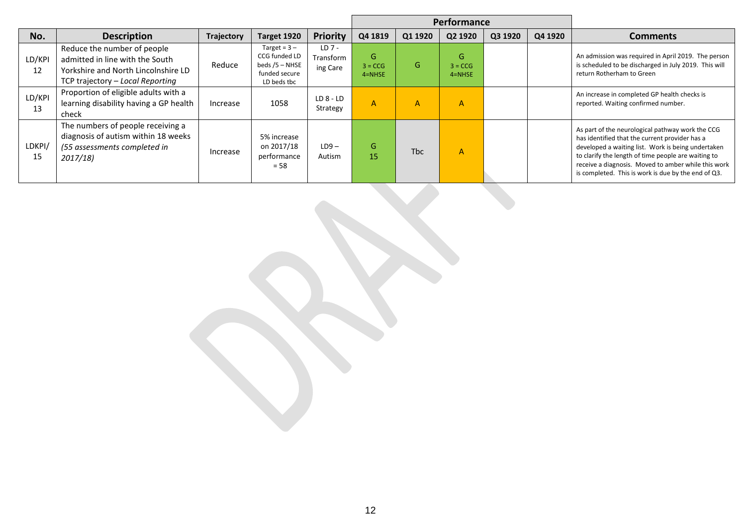|              |                                                                                                                                           |                   |                                                                                     |                                  |                              |            | Performance                   |         |         |                                                                                                                                                                                                                                                                                                                               |
|--------------|-------------------------------------------------------------------------------------------------------------------------------------------|-------------------|-------------------------------------------------------------------------------------|----------------------------------|------------------------------|------------|-------------------------------|---------|---------|-------------------------------------------------------------------------------------------------------------------------------------------------------------------------------------------------------------------------------------------------------------------------------------------------------------------------------|
| No.          | <b>Description</b>                                                                                                                        | <b>Trajectory</b> | Target 1920                                                                         | <b>Priority</b>                  | Q4 1819                      | Q1 1920    | Q2 1920                       | Q3 1920 | Q4 1920 | <b>Comments</b>                                                                                                                                                                                                                                                                                                               |
| LD/KPI<br>12 | Reduce the number of people<br>admitted in line with the South<br>Yorkshire and North Lincolnshire LD<br>TCP trajectory - Local Reporting | Reduce            | Target = $3 -$<br>CCG funded LD<br>beds $/5 -$ NHSE<br>funded secure<br>LD beds tbc | $LD7 -$<br>Transform<br>ing Care | G<br>$3 = CCG$<br>$4 = NHSE$ | G.         | G.<br>$3 = CCG$<br>$4 = NHSE$ |         |         | An admission was required in April 2019. The person<br>is scheduled to be discharged in July 2019. This will<br>return Rotherham to Green                                                                                                                                                                                     |
| LD/KPI<br>13 | Proportion of eligible adults with a<br>learning disability having a GP health<br>check                                                   | Increase          | 1058                                                                                | $LD8 - LD$<br>Strategy           | A                            | 'A'        | A                             |         |         | An increase in completed GP health checks is<br>reported. Waiting confirmed number.                                                                                                                                                                                                                                           |
| LDKPI/<br>15 | The numbers of people receiving a<br>diagnosis of autism within 18 weeks<br>(55 assessments completed in<br>2017/18)                      | Increase          | 5% increase<br>on 2017/18<br>performance<br>$= 58$                                  | $LD9-$<br>Autism                 | G<br>15                      | <b>Tbc</b> | A                             |         |         | As part of the neurological pathway work the CCG<br>has identified that the current provider has a<br>developed a waiting list. Work is being undertaken<br>to clarify the length of time people are waiting to<br>receive a diagnosis. Moved to amber while this work<br>is completed. This is work is due by the end of Q3. |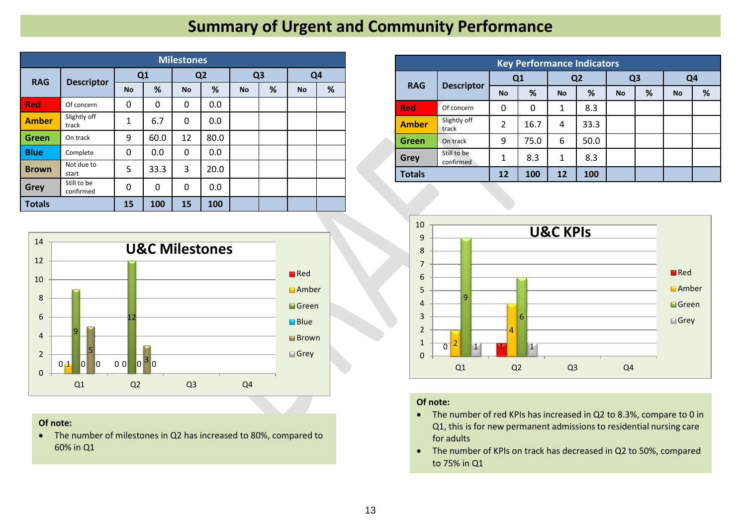# **Summary of Urgent and Community Performance**

|               | <b>Milestones</b>        |              |              |           |                |           |                |                |   |  |  |  |  |  |
|---------------|--------------------------|--------------|--------------|-----------|----------------|-----------|----------------|----------------|---|--|--|--|--|--|
|               |                          |              | Q1           |           | Q <sub>2</sub> |           | Q <sub>3</sub> | Q <sub>4</sub> |   |  |  |  |  |  |
| <b>RAG</b>    | <b>Descriptor</b>        | <b>No</b>    | %            | <b>No</b> | %              | <b>No</b> | %              | <b>No</b>      | % |  |  |  |  |  |
| <b>Red</b>    | Of concern               | 0            | 0            | 0         | 0.0            |           |                |                |   |  |  |  |  |  |
| <b>Amber</b>  | Slightly off<br>track    | $\mathbf{1}$ | 6.7          | 0         | 0.0            |           |                |                |   |  |  |  |  |  |
| <b>Green</b>  | On track                 | 9            | 60.0         | 12        | 80.0           |           |                |                |   |  |  |  |  |  |
| <b>Blue</b>   | Complete                 | 0            | 0.0          | 0         | 0.0            |           |                |                |   |  |  |  |  |  |
| <b>Brown</b>  | Not due to<br>start      | 5            | 33.3         | 3         | 20.0           |           |                |                |   |  |  |  |  |  |
| <b>Grey</b>   | Still to be<br>confirmed | 0            | $\mathbf{0}$ | 0         | 0.0            |           |                |                |   |  |  |  |  |  |
| <b>Totals</b> |                          | 15           | 100          | 15        | 100            |           |                |                |   |  |  |  |  |  |



### **Of note:**

• The number of milestones in Q2 has increased to 80%, compared to 60% in Q1

| <b>Key Performance Indicators</b> |                          |                |      |           |                |                |   |                |   |  |  |  |  |
|-----------------------------------|--------------------------|----------------|------|-----------|----------------|----------------|---|----------------|---|--|--|--|--|
|                                   |                          |                | Q1   |           | Q <sub>2</sub> | Q <sub>3</sub> |   | Q <sub>4</sub> |   |  |  |  |  |
| <b>RAG</b>                        | <b>Descriptor</b>        | <b>No</b>      | %    | <b>No</b> | %              | <b>No</b>      | % | <b>No</b>      | % |  |  |  |  |
| <b>Red</b>                        | Of concern               | 0              | 0    | 1         | 8.3            |                |   |                |   |  |  |  |  |
| <b>Amber</b>                      | Slightly off<br>track    | $\overline{2}$ | 16.7 | 4         | 33.3           |                |   |                |   |  |  |  |  |
| Green                             | On track                 | 9              | 75.0 | 6         | 50.0           |                |   |                |   |  |  |  |  |
| <b>Grey</b>                       | Still to be<br>confirmed | 1              | 8.3  | 1         | 8.3            |                |   |                |   |  |  |  |  |
| <b>Totals</b>                     |                          | 12             | 100  | 12        | 100            |                |   |                |   |  |  |  |  |



### **Of note:**

- The number of red KPIs has increased in Q2 to 8.3%, compare to 0 in Q1, this is for new permanent admissions to residential nursing care for adults
- The number of KPIs on track has decreased in Q2 to 50%, compared to 75% in Q1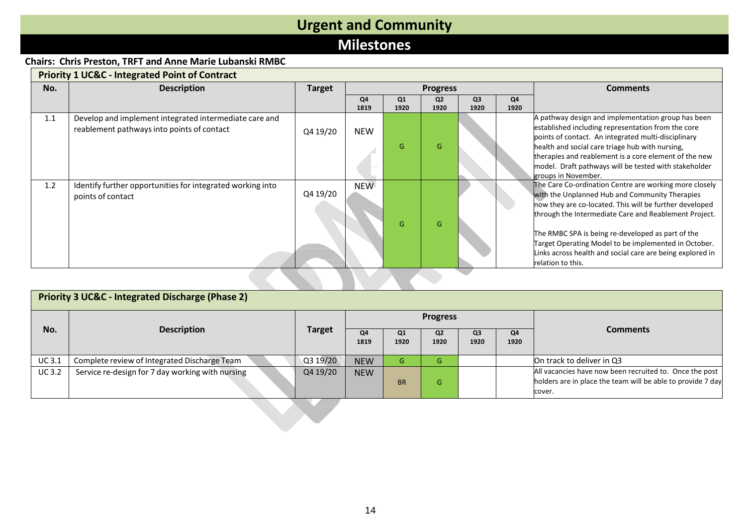# **Urgent and Community**

### **Milestones**

### **Chairs: Chris Preston, TRFT and Anne Marie Lubanski RMBC**

| No. | <b>Description</b>                                                                                   | <b>Target</b> |            |            | <b>Progress</b>        |                        | <b>Comments</b> |                                                                                                                                                                                                                                                                                                                                                                                                                             |
|-----|------------------------------------------------------------------------------------------------------|---------------|------------|------------|------------------------|------------------------|-----------------|-----------------------------------------------------------------------------------------------------------------------------------------------------------------------------------------------------------------------------------------------------------------------------------------------------------------------------------------------------------------------------------------------------------------------------|
|     |                                                                                                      |               | Q4<br>1819 | Q1<br>1920 | Q <sub>2</sub><br>1920 | Q <sub>3</sub><br>1920 | Q4<br>1920      |                                                                                                                                                                                                                                                                                                                                                                                                                             |
| 1.1 | Develop and implement integrated intermediate care and<br>reablement pathways into points of contact | Q4 19/20      | <b>NEW</b> | G          | G                      |                        |                 | A pathway design and implementation group has been<br>established including representation from the core<br>points of contact. An integrated multi-disciplinary<br>health and social care triage hub with nursing,<br>therapies and reablement is a core element of the new<br>model. Draft pathways will be tested with stakeholder<br>groups in November.                                                                 |
| 1.2 | Identify further opportunities for integrated working into<br>points of contact                      | Q4 19/20      | <b>NEW</b> | G          | G                      |                        |                 | The Care Co-ordination Centre are working more closely<br>with the Unplanned Hub and Community Therapies<br>now they are co-located. This will be further developed<br>through the Intermediate Care and Reablement Project.<br>The RMBC SPA is being re-developed as part of the<br>Target Operating Model to be implemented in October.<br>Links across health and social care are being explored in<br>relation to this. |

|              | <b>Priority 3 UC&amp;C - Integrated Discharge (Phase 2)</b> |               |            |                        |                        |                        |            |                                                                                                                                  |  |  |  |  |
|--------------|-------------------------------------------------------------|---------------|------------|------------------------|------------------------|------------------------|------------|----------------------------------------------------------------------------------------------------------------------------------|--|--|--|--|
|              |                                                             |               |            |                        | <b>Progress</b>        |                        |            |                                                                                                                                  |  |  |  |  |
| No.          | <b>Description</b>                                          | <b>Target</b> | Q4<br>1819 | Q <sub>1</sub><br>1920 | Q <sub>2</sub><br>1920 | Q <sub>3</sub><br>1920 | Q4<br>1920 | <b>Comments</b>                                                                                                                  |  |  |  |  |
| <b>UC3.1</b> | Complete review of Integrated Discharge Team                | Q3 19/20      | <b>NEW</b> | G                      | G                      |                        |            | On track to deliver in Q3                                                                                                        |  |  |  |  |
| <b>UC3.2</b> | Service re-design for 7 day working with nursing            | Q4 19/20      | <b>NEW</b> | <b>BR</b>              | G                      |                        |            | All vacancies have now been recruited to. Once the post<br>holders are in place the team will be able to provide 7 day<br>cover. |  |  |  |  |
|              |                                                             |               |            |                        |                        |                        |            |                                                                                                                                  |  |  |  |  |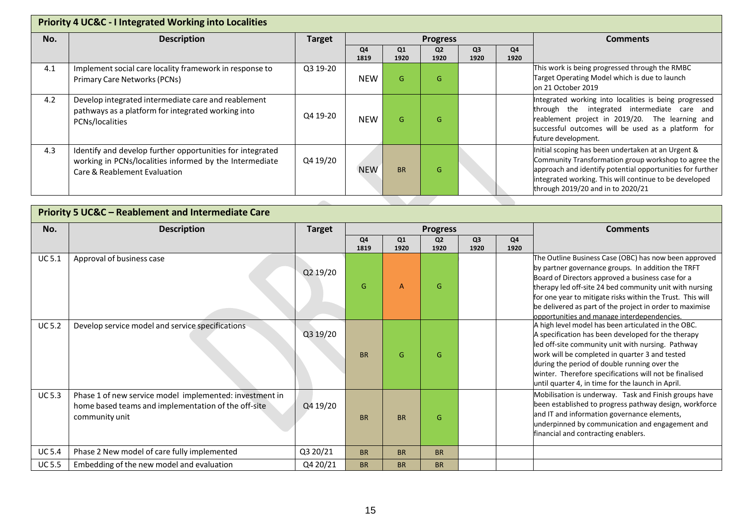|     | <b>Priority 4 UC&amp;C - I Integrated Working into Localities</b>                                                                                    |               |            |            |                        |                        |            |                                                                                                                                                                                                                                                                        |  |  |  |  |
|-----|------------------------------------------------------------------------------------------------------------------------------------------------------|---------------|------------|------------|------------------------|------------------------|------------|------------------------------------------------------------------------------------------------------------------------------------------------------------------------------------------------------------------------------------------------------------------------|--|--|--|--|
| No. | <b>Description</b>                                                                                                                                   | <b>Target</b> |            |            | <b>Progress</b>        |                        |            | <b>Comments</b>                                                                                                                                                                                                                                                        |  |  |  |  |
|     |                                                                                                                                                      |               | Q4<br>1819 | Q1<br>1920 | Q <sub>2</sub><br>1920 | Q <sub>3</sub><br>1920 | Q4<br>1920 |                                                                                                                                                                                                                                                                        |  |  |  |  |
| 4.1 | Implement social care locality framework in response to<br>Primary Care Networks (PCNs)                                                              | Q3 19-20      | <b>NEW</b> | G          | G                      |                        |            | This work is being progressed through the RMBC<br>Target Operating Model which is due to launch<br>on 21 October 2019                                                                                                                                                  |  |  |  |  |
| 4.2 | Develop integrated intermediate care and reablement<br>pathways as a platform for integrated working into<br>PCNs/localities                         | Q4 19-20      | <b>NEW</b> | G          | G                      |                        |            | Integrated working into localities is being progressed<br>through the integrated intermediate care and<br>reablement project in 2019/20. The learning and<br>successful outcomes will be used as a platform for<br>future development.                                 |  |  |  |  |
| 4.3 | Identify and develop further opportunities for integrated<br>working in PCNs/localities informed by the Intermediate<br>Care & Reablement Evaluation | Q4 19/20      | <b>NEW</b> | <b>BR</b>  | G                      |                        |            | Initial scoping has been undertaken at an Urgent &<br>Community Transformation group workshop to agree the<br>approach and identify potential opportunities for further<br>integrated working. This will continue to be developed<br>through 2019/20 and in to 2020/21 |  |  |  |  |
|     |                                                                                                                                                      |               |            |            |                        |                        |            |                                                                                                                                                                                                                                                                        |  |  |  |  |

|               | <b>Priority 5 UC&amp;C - Reablement and Intermediate Care</b>                                                                    |               |                        |            |                        |                        |            |                                                                                                                                                                                                                                                                                                                                                                                                      |  |  |  |  |
|---------------|----------------------------------------------------------------------------------------------------------------------------------|---------------|------------------------|------------|------------------------|------------------------|------------|------------------------------------------------------------------------------------------------------------------------------------------------------------------------------------------------------------------------------------------------------------------------------------------------------------------------------------------------------------------------------------------------------|--|--|--|--|
| No.           | <b>Description</b>                                                                                                               | <b>Target</b> |                        |            | <b>Progress</b>        |                        |            | <b>Comments</b>                                                                                                                                                                                                                                                                                                                                                                                      |  |  |  |  |
|               |                                                                                                                                  |               | Q <sub>4</sub><br>1819 | Q1<br>1920 | Q <sub>2</sub><br>1920 | Q <sub>3</sub><br>1920 | Q4<br>1920 |                                                                                                                                                                                                                                                                                                                                                                                                      |  |  |  |  |
| <b>UC 5.1</b> | Approval of business case                                                                                                        | Q2 19/20      | G                      | A          | G                      |                        |            | The Outline Business Case (OBC) has now been approved<br>by partner governance groups. In addition the TRFT<br>Board of Directors approved a business case for a<br>therapy led off-site 24 bed community unit with nursing<br>for one year to mitigate risks within the Trust. This will<br>be delivered as part of the project in order to maximise<br>opportunities and manage interdependencies. |  |  |  |  |
| <b>UC 5.2</b> | Develop service model and service specifications                                                                                 | Q3 19/20      | <b>BR</b>              | G          | G                      |                        |            | A high level model has been articulated in the OBC.<br>A specification has been developed for the therapy<br>led off-site community unit with nursing. Pathway<br>work will be completed in quarter 3 and tested<br>during the period of double running over the<br>winter. Therefore specifications will not be finalised<br>until quarter 4, in time for the launch in April.                      |  |  |  |  |
| <b>UC 5.3</b> | Phase 1 of new service model implemented: investment in<br>home based teams and implementation of the off-site<br>community unit | Q4 19/20      | <b>BR</b>              | <b>BR</b>  | G                      |                        |            | Mobilisation is underway. Task and Finish groups have<br>been established to progress pathway design, workforce<br>and IT and information governance elements,<br>underpinned by communication and engagement and<br>financial and contracting enablers.                                                                                                                                             |  |  |  |  |
| <b>UC 5.4</b> | Phase 2 New model of care fully implemented                                                                                      | Q3 20/21      | <b>BR</b>              | <b>BR</b>  | <b>BR</b>              |                        |            |                                                                                                                                                                                                                                                                                                                                                                                                      |  |  |  |  |
| <b>UC 5.5</b> | Embedding of the new model and evaluation                                                                                        | Q4 20/21      | <b>BR</b>              | <b>BR</b>  | <b>BR</b>              |                        |            |                                                                                                                                                                                                                                                                                                                                                                                                      |  |  |  |  |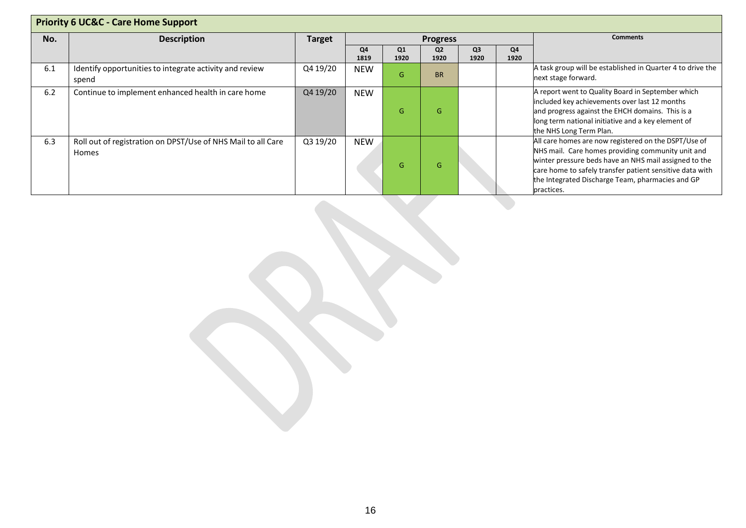| <b>Priority 6 UC&amp;C - Care Home Support</b> |                                                                       |               |            |            |                        |                        |            |                                                                                                                                                                                                                                                                                                  |  |  |
|------------------------------------------------|-----------------------------------------------------------------------|---------------|------------|------------|------------------------|------------------------|------------|--------------------------------------------------------------------------------------------------------------------------------------------------------------------------------------------------------------------------------------------------------------------------------------------------|--|--|
| No.                                            | <b>Description</b>                                                    | <b>Target</b> |            |            | <b>Progress</b>        |                        |            | <b>Comments</b>                                                                                                                                                                                                                                                                                  |  |  |
|                                                |                                                                       |               | Q4<br>1819 | Q1<br>1920 | Q <sub>2</sub><br>1920 | Q <sub>3</sub><br>1920 | Q4<br>1920 |                                                                                                                                                                                                                                                                                                  |  |  |
| 6.1                                            | Identify opportunities to integrate activity and review<br>spend      | Q4 19/20      | <b>NEW</b> | G          | <b>BR</b>              |                        |            | A task group will be established in Quarter 4 to drive the<br>next stage forward.                                                                                                                                                                                                                |  |  |
| 6.2                                            | Continue to implement enhanced health in care home                    | Q4 19/20      | <b>NEW</b> | G          | G                      |                        |            | A report went to Quality Board in September which<br>included key achievements over last 12 months<br>and progress against the EHCH domains. This is a<br>long term national initiative and a key element of<br>the NHS Long Term Plan.                                                          |  |  |
| 6.3                                            | Roll out of registration on DPST/Use of NHS Mail to all Care<br>Homes | Q3 19/20      | <b>NEW</b> | G          | G                      |                        |            | All care homes are now registered on the DSPT/Use of<br>NHS mail. Care homes providing community unit and<br>winter pressure beds have an NHS mail assigned to the<br>care home to safely transfer patient sensitive data with<br>the Integrated Discharge Team, pharmacies and GP<br>practices. |  |  |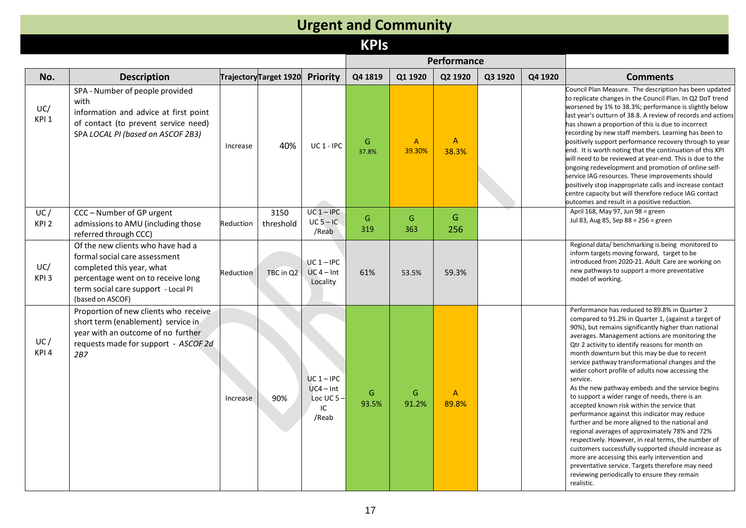#### **Urgent and Community KPIs Performance No. Description TrajectoryTarget 1920 Priority Q4 1819 Q1 1920 Q2 1920 Q3 1920 Q4 1920 Comments** UC/ KPI 1 SPA - Number of people provided with information and advice at first point of contact (to prevent service need) SPA *LOCAL PI (based on ASCOF 2B3)* Increase  $40\%$  UC 1 - IPC  $\frac{G}{37.8}$ 37.8% A 39.30% A 38.3% Council Plan Measure. The description has been updated to replicate changes in the Council Plan. In Q2 DoT trend worsened by 1% to 38.3%; performance is slightly below last year's outturn of 38.8. A review of records and actions has shown a proportion of this is due to incorrect recording by new staff members. Learning has been to positively support performance recovery through to year end. It is worth noting that the continuation of this KPI will need to be reviewed at year-end. This is due to the

| UC/                     | SPA LOCAL PI (based on ASCOF 2B3)<br>CCC - Number of GP urgent                                                                                                                                   | Increase  | 40%<br>3150 | UC 1 - IPC<br>$UC 1 - IPC$                                | G<br>37.8%<br>G | A<br>39.30%<br>G | A<br>38.3%<br>G       | recording by new staff members. Learning has been to<br>positively support performance recovery through to year<br>end. It is worth noting that the continuation of this KPI<br>will need to be reviewed at year-end. This is due to the<br>ongoing redevelopment and promotion of online self-<br>service IAG resources. These improvements should<br>positively stop inappropriate calls and increase contact<br>centre capacity but will therefore reduce IAG contact<br>outcomes and result in a positive reduction.<br>April 168, May 97, Jun 98 = green                                                                                                                                                                                                                                                                                                                                                                                                                                                                        |
|-------------------------|--------------------------------------------------------------------------------------------------------------------------------------------------------------------------------------------------|-----------|-------------|-----------------------------------------------------------|-----------------|------------------|-----------------------|--------------------------------------------------------------------------------------------------------------------------------------------------------------------------------------------------------------------------------------------------------------------------------------------------------------------------------------------------------------------------------------------------------------------------------------------------------------------------------------------------------------------------------------------------------------------------------------------------------------------------------------------------------------------------------------------------------------------------------------------------------------------------------------------------------------------------------------------------------------------------------------------------------------------------------------------------------------------------------------------------------------------------------------|
| KPI <sub>2</sub>        | admissions to AMU (including those<br>referred through CCC)                                                                                                                                      | Reduction | threshold   | $UC$ 5 – IC<br>/Reab                                      | 319             | 363              | 256                   | Jul 83, Aug 85, Sep 88 = 256 = green                                                                                                                                                                                                                                                                                                                                                                                                                                                                                                                                                                                                                                                                                                                                                                                                                                                                                                                                                                                                 |
| UC/<br>KPI3             | Of the new clients who have had a<br>formal social care assessment<br>completed this year, what<br>percentage went on to receive long<br>term social care support - Local PI<br>(based on ASCOF) | Reduction | TBC in Q2   | $UC 1 - IPC$<br>$UC$ 4 – Int<br>Locality                  | 61%             | 53.5%            | 59.3%                 | Regional data/benchmarking is being monitored to<br>inform targets moving forward, target to be<br>introduced from 2020-21. Adult Care are working on<br>new pathways to support a more preventative<br>model of working.                                                                                                                                                                                                                                                                                                                                                                                                                                                                                                                                                                                                                                                                                                                                                                                                            |
| UC/<br>KPI <sub>4</sub> | Proportion of new clients who receive<br>short term (enablement) service in<br>year with an outcome of no further<br>requests made for support - ASCOF 2d<br>2B7                                 | Increase  | 90%         | $UC 1 - IPC$<br>$UC4 - Int$<br>Loc UC $5-$<br>ΙC<br>/Reab | G<br>93.5%      | G<br>91.2%       | $\mathsf{A}$<br>89.8% | Performance has reduced to 89.8% in Quarter 2<br>compared to 91.2% in Quarter 1, (against a target of<br>90%), but remains significantly higher than national<br>averages. Management actions are monitoring the<br>Qtr 2 activity to identify reasons for month on<br>month downturn but this may be due to recent<br>service pathway transformational changes and the<br>wider cohort profile of adults now accessing the<br>service.<br>As the new pathway embeds and the service begins<br>to support a wider range of needs, there is an<br>accepted known risk within the service that<br>performance against this indicator may reduce<br>further and be more aligned to the national and<br>regional averages of approximately 78% and 72%<br>respectively. However, in real terms, the number of<br>customers successfully supported should increase as<br>more are accessing this early intervention and<br>preventative service. Targets therefore may need<br>reviewing periodically to ensure they remain<br>realistic. |